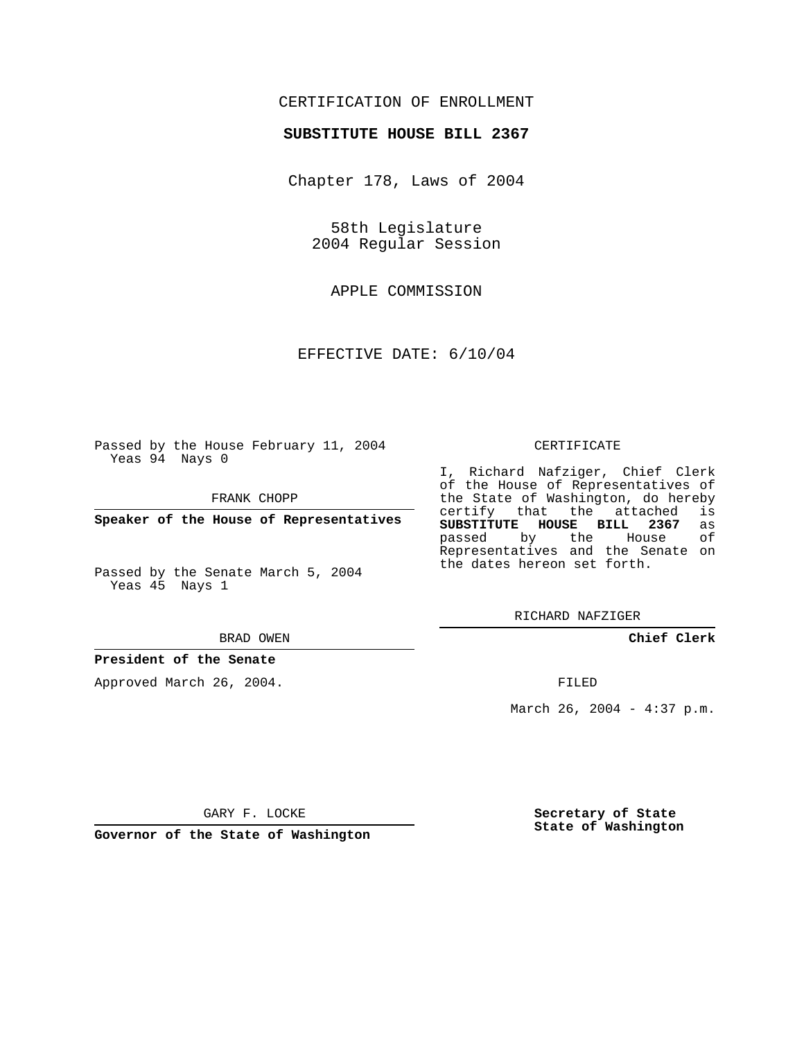## CERTIFICATION OF ENROLLMENT

### **SUBSTITUTE HOUSE BILL 2367**

Chapter 178, Laws of 2004

58th Legislature 2004 Regular Session

APPLE COMMISSION

EFFECTIVE DATE: 6/10/04

Passed by the House February 11, 2004 Yeas 94 Nays 0

FRANK CHOPP

**Speaker of the House of Representatives**

Passed by the Senate March 5, 2004 Yeas 45 Nays 1

#### BRAD OWEN

### **President of the Senate**

Approved March 26, 2004.

#### CERTIFICATE

I, Richard Nafziger, Chief Clerk of the House of Representatives of the State of Washington, do hereby<br>certify that the attached is certify that the attached **SUBSTITUTE HOUSE BILL 2367** as passed by the Representatives and the Senate on the dates hereon set forth.

RICHARD NAFZIGER

**Chief Clerk**

FILED

March 26, 2004 - 4:37 p.m.

GARY F. LOCKE

**Governor of the State of Washington**

**Secretary of State State of Washington**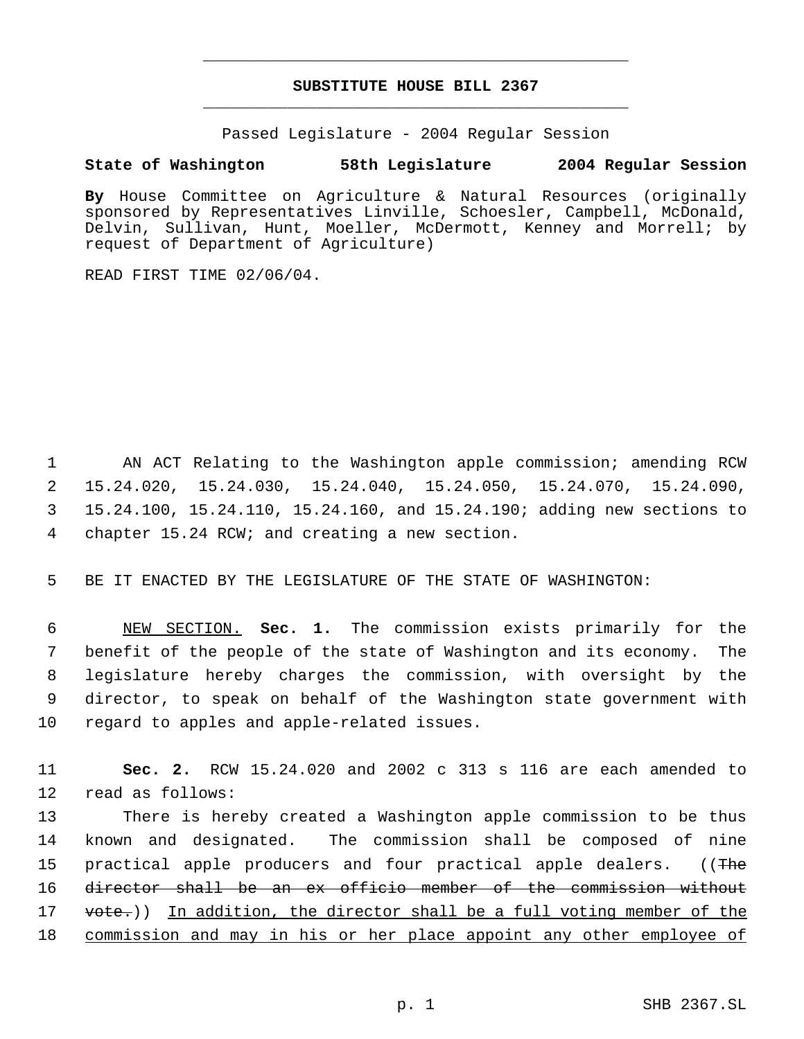# **SUBSTITUTE HOUSE BILL 2367** \_\_\_\_\_\_\_\_\_\_\_\_\_\_\_\_\_\_\_\_\_\_\_\_\_\_\_\_\_\_\_\_\_\_\_\_\_\_\_\_\_\_\_\_\_

\_\_\_\_\_\_\_\_\_\_\_\_\_\_\_\_\_\_\_\_\_\_\_\_\_\_\_\_\_\_\_\_\_\_\_\_\_\_\_\_\_\_\_\_\_

Passed Legislature - 2004 Regular Session

## **State of Washington 58th Legislature 2004 Regular Session**

**By** House Committee on Agriculture & Natural Resources (originally sponsored by Representatives Linville, Schoesler, Campbell, McDonald, Delvin, Sullivan, Hunt, Moeller, McDermott, Kenney and Morrell; by request of Department of Agriculture)

READ FIRST TIME 02/06/04.

 AN ACT Relating to the Washington apple commission; amending RCW 15.24.020, 15.24.030, 15.24.040, 15.24.050, 15.24.070, 15.24.090, 15.24.100, 15.24.110, 15.24.160, and 15.24.190; adding new sections to chapter 15.24 RCW; and creating a new section.

5 BE IT ENACTED BY THE LEGISLATURE OF THE STATE OF WASHINGTON:

 NEW SECTION. **Sec. 1.** The commission exists primarily for the benefit of the people of the state of Washington and its economy. The legislature hereby charges the commission, with oversight by the director, to speak on behalf of the Washington state government with regard to apples and apple-related issues.

11 **Sec. 2.** RCW 15.24.020 and 2002 c 313 s 116 are each amended to 12 read as follows:

 There is hereby created a Washington apple commission to be thus known and designated. The commission shall be composed of nine 15 practical apple producers and four practical apple dealers. ((The director shall be an ex officio member of the commission without 17 vote.)) In addition, the director shall be a full voting member of the commission and may in his or her place appoint any other employee of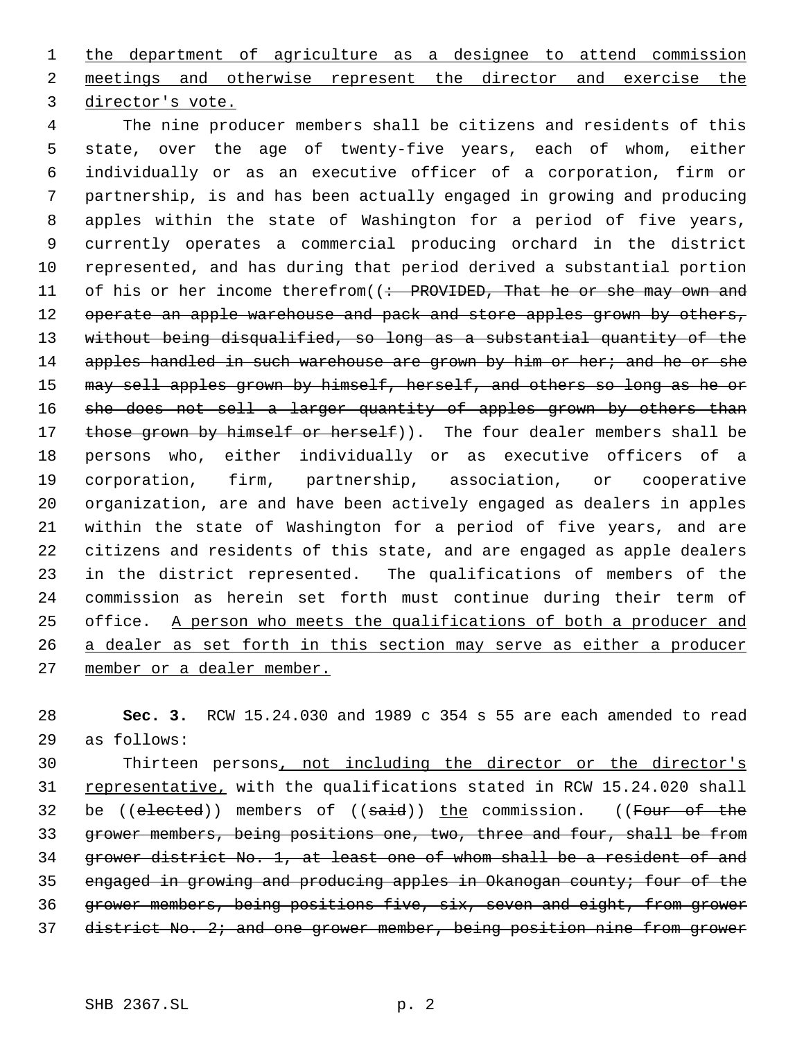the department of agriculture as a designee to attend commission meetings and otherwise represent the director and exercise the director's vote.

 The nine producer members shall be citizens and residents of this state, over the age of twenty-five years, each of whom, either individually or as an executive officer of a corporation, firm or partnership, is and has been actually engaged in growing and producing apples within the state of Washington for a period of five years, currently operates a commercial producing orchard in the district represented, and has during that period derived a substantial portion 11 of his or her income therefrom((: PROVIDED, That he or she may own and 12 operate an apple warehouse and pack and store apples grown by others, without being disqualified, so long as a substantial quantity of the 14 apples handled in such warehouse are grown by him or her; and he or she 15 may sell apples grown by himself, herself, and others so long as he or 16 she does not sell a larger quantity of apples grown by others than 17 those grown by himself or herself)). The four dealer members shall be persons who, either individually or as executive officers of a corporation, firm, partnership, association, or cooperative organization, are and have been actively engaged as dealers in apples within the state of Washington for a period of five years, and are citizens and residents of this state, and are engaged as apple dealers in the district represented. The qualifications of members of the commission as herein set forth must continue during their term of 25 office. A person who meets the qualifications of both a producer and a dealer as set forth in this section may serve as either a producer member or a dealer member.

 **Sec. 3.** RCW 15.24.030 and 1989 c 354 s 55 are each amended to read as follows:

 Thirteen persons, not including the director or the director's representative, with the qualifications stated in RCW 15.24.020 shall 32 be ((elected)) members of ((said)) the commission. ((Four of the 33 grower members, being positions one, two, three and four, shall be from grower district No. 1, at least one of whom shall be a resident of and engaged in growing and producing apples in Okanogan county; four of the grower members, being positions five, six, seven and eight, from grower 37 district No. 2; and one grower member, being position nine from grower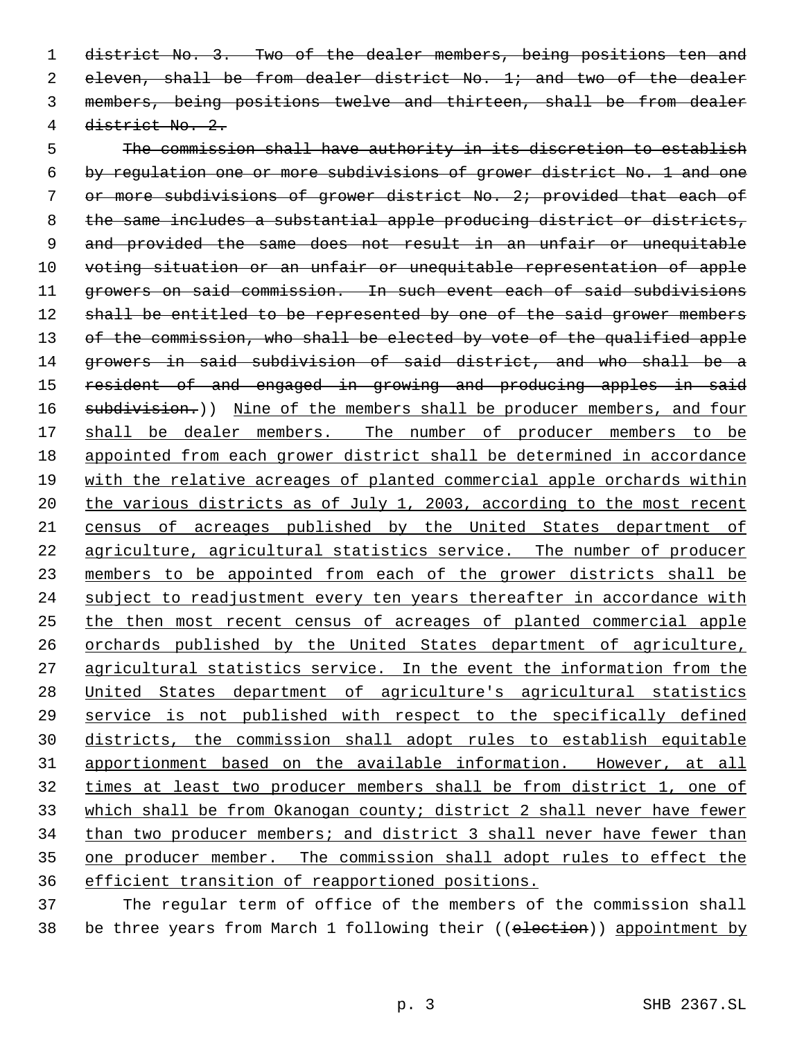1 district No. 3. Two of the dealer members, being positions ten and 2 eleven, shall be from dealer district No. 1; and two of the dealer members, being positions twelve and thirteen, shall be from dealer district No. 2.

 The commission shall have authority in its discretion to establish by regulation one or more subdivisions of grower district No. 1 and one or more subdivisions of grower district No. 2; provided that each of 8 the same includes a substantial apple producing district or districts, and provided the same does not result in an unfair or unequitable voting situation or an unfair or unequitable representation of apple growers on said commission. In such event each of said subdivisions 12 shall be entitled to be represented by one of the said grower members 13 of the commission, who shall be elected by vote of the qualified apple growers in said subdivision of said district, and who shall be a resident of and engaged in growing and producing apples in said 16 subdivision.)) Nine of the members shall be producer members, and four 17 shall be dealer members. The number of producer members to be appointed from each grower district shall be determined in accordance with the relative acreages of planted commercial apple orchards within 20 the various districts as of July 1, 2003, according to the most recent census of acreages published by the United States department of agriculture, agricultural statistics service. The number of producer 23 members to be appointed from each of the grower districts shall be 24 subject to readjustment every ten years thereafter in accordance with the then most recent census of acreages of planted commercial apple orchards published by the United States department of agriculture, 27 agricultural statistics service. In the event the information from the United States department of agriculture's agricultural statistics service is not published with respect to the specifically defined districts, the commission shall adopt rules to establish equitable apportionment based on the available information. However, at all times at least two producer members shall be from district 1, one of 33 which shall be from Okanogan county; district 2 shall never have fewer than two producer members; and district 3 shall never have fewer than one producer member. The commission shall adopt rules to effect the efficient transition of reapportioned positions.

 The regular term of office of the members of the commission shall 38 be three years from March 1 following their ((election)) appointment by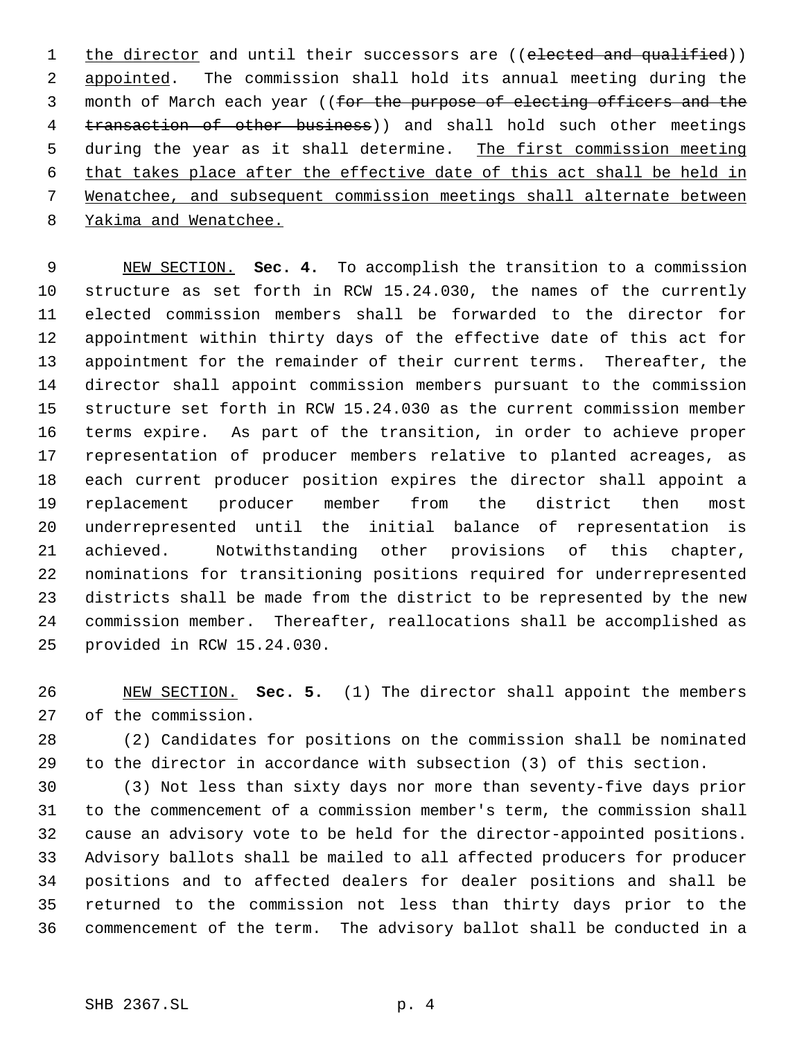1 the director and until their successors are ((elected and qualified)) 2 appointed. The commission shall hold its annual meeting during the 3 month of March each year ((for the purpose of electing officers and the 4 transaction of other business)) and shall hold such other meetings 5 during the year as it shall determine. The first commission meeting that takes place after the effective date of this act shall be held in Wenatchee, and subsequent commission meetings shall alternate between Yakima and Wenatchee.

 NEW SECTION. **Sec. 4.** To accomplish the transition to a commission structure as set forth in RCW 15.24.030, the names of the currently elected commission members shall be forwarded to the director for appointment within thirty days of the effective date of this act for appointment for the remainder of their current terms. Thereafter, the director shall appoint commission members pursuant to the commission structure set forth in RCW 15.24.030 as the current commission member terms expire. As part of the transition, in order to achieve proper representation of producer members relative to planted acreages, as each current producer position expires the director shall appoint a replacement producer member from the district then most underrepresented until the initial balance of representation is achieved. Notwithstanding other provisions of this chapter, nominations for transitioning positions required for underrepresented districts shall be made from the district to be represented by the new commission member. Thereafter, reallocations shall be accomplished as provided in RCW 15.24.030.

 NEW SECTION. **Sec. 5.** (1) The director shall appoint the members of the commission.

 (2) Candidates for positions on the commission shall be nominated to the director in accordance with subsection (3) of this section.

 (3) Not less than sixty days nor more than seventy-five days prior to the commencement of a commission member's term, the commission shall cause an advisory vote to be held for the director-appointed positions. Advisory ballots shall be mailed to all affected producers for producer positions and to affected dealers for dealer positions and shall be returned to the commission not less than thirty days prior to the commencement of the term. The advisory ballot shall be conducted in a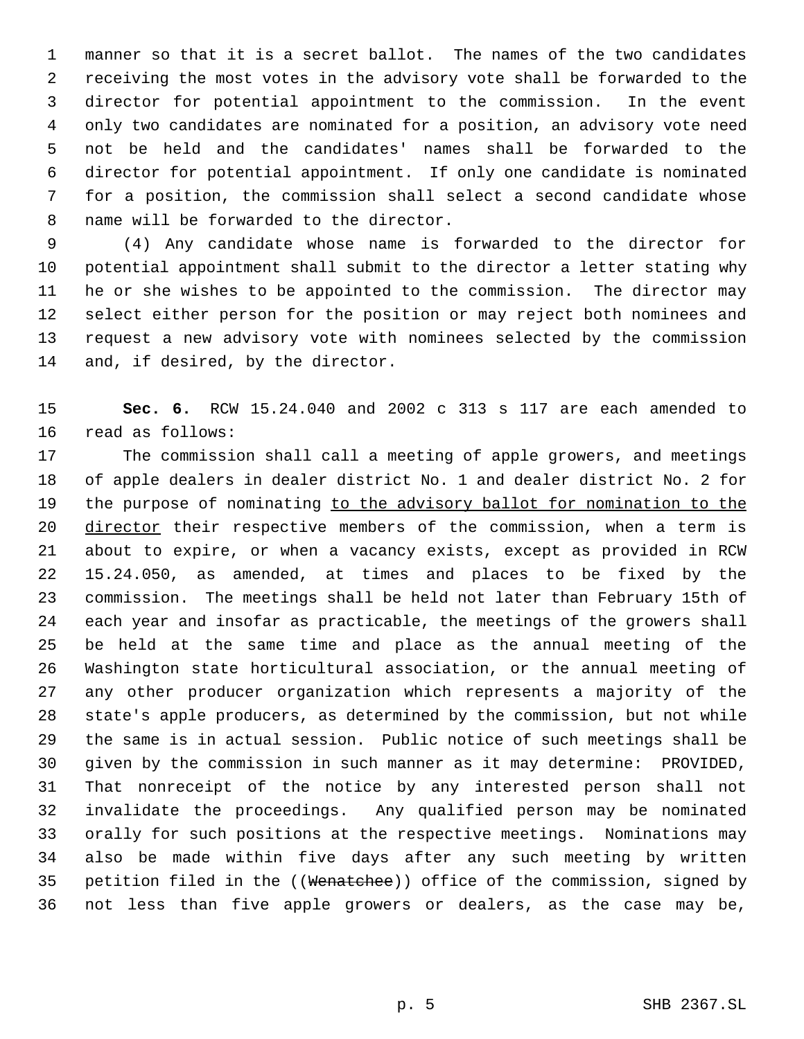manner so that it is a secret ballot. The names of the two candidates receiving the most votes in the advisory vote shall be forwarded to the director for potential appointment to the commission. In the event only two candidates are nominated for a position, an advisory vote need not be held and the candidates' names shall be forwarded to the director for potential appointment. If only one candidate is nominated for a position, the commission shall select a second candidate whose name will be forwarded to the director.

 (4) Any candidate whose name is forwarded to the director for potential appointment shall submit to the director a letter stating why he or she wishes to be appointed to the commission. The director may select either person for the position or may reject both nominees and request a new advisory vote with nominees selected by the commission 14 and, if desired, by the director.

 **Sec. 6.** RCW 15.24.040 and 2002 c 313 s 117 are each amended to read as follows:

 The commission shall call a meeting of apple growers, and meetings of apple dealers in dealer district No. 1 and dealer district No. 2 for 19 the purpose of nominating to the advisory ballot for nomination to the 20 director their respective members of the commission, when a term is about to expire, or when a vacancy exists, except as provided in RCW 15.24.050, as amended, at times and places to be fixed by the commission. The meetings shall be held not later than February 15th of each year and insofar as practicable, the meetings of the growers shall be held at the same time and place as the annual meeting of the Washington state horticultural association, or the annual meeting of any other producer organization which represents a majority of the state's apple producers, as determined by the commission, but not while the same is in actual session. Public notice of such meetings shall be given by the commission in such manner as it may determine: PROVIDED, That nonreceipt of the notice by any interested person shall not invalidate the proceedings. Any qualified person may be nominated orally for such positions at the respective meetings. Nominations may also be made within five days after any such meeting by written 35 petition filed in the ((Wenatchee)) office of the commission, signed by not less than five apple growers or dealers, as the case may be,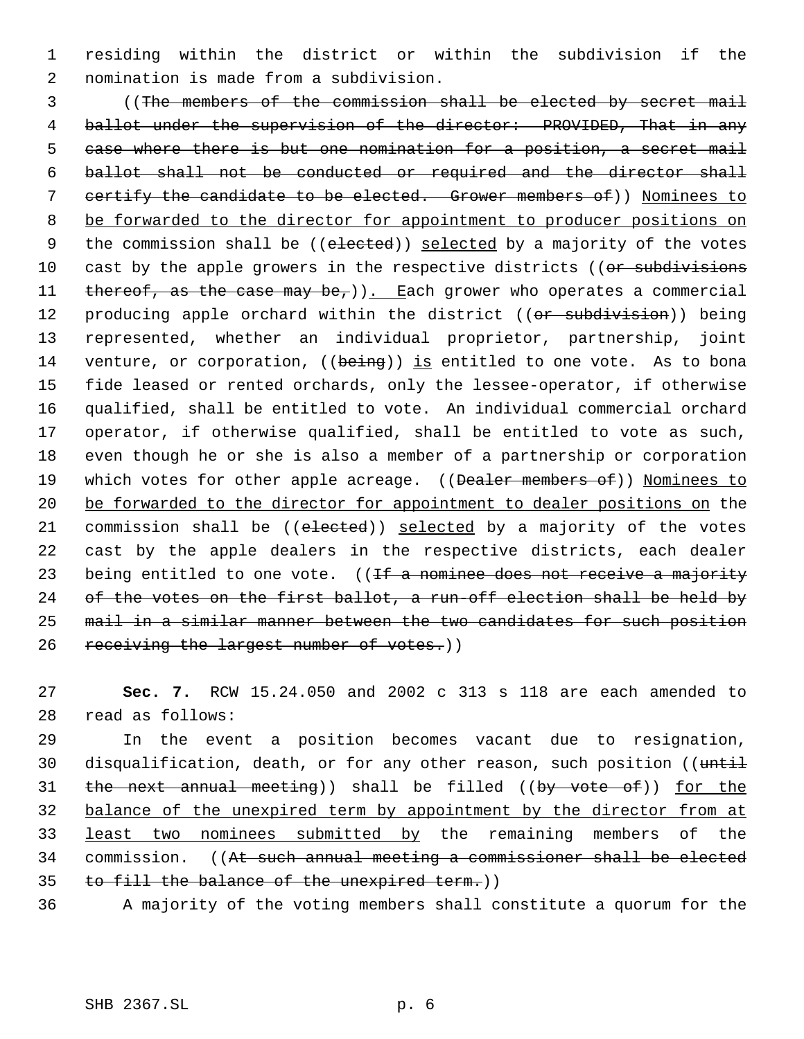1 residing within the district or within the subdivision if the 2 nomination is made from a subdivision.

 3 ((The members of the commission shall be elected by secret mail 4 ballot under the supervision of the director: PROVIDED, That in any 5 case where there is but one nomination for a position, a secret mail 6 ballot shall not be conducted or required and the director shall 7 certify the candidate to be elected. Grower members of)) Nominees to 8 be forwarded to the director for appointment to producer positions on 9 the commission shall be ((elected)) selected by a majority of the votes 10 cast by the apple growers in the respective districts ((or subdivisions 11 thereof, as the case may be,  $)$ . Each grower who operates a commercial 12 producing apple orchard within the district ((or subdivision)) being 13 represented, whether an individual proprietor, partnership, joint 14 venture, or corporation, ((being)) is entitled to one vote. As to bona 15 fide leased or rented orchards, only the lessee-operator, if otherwise 16 qualified, shall be entitled to vote. An individual commercial orchard 17 operator, if otherwise qualified, shall be entitled to vote as such, 18 even though he or she is also a member of a partnership or corporation 19 which votes for other apple acreage. ((Dealer members of)) Nominees to 20 be forwarded to the director for appointment to dealer positions on the 21 commission shall be ((elected)) selected by a majority of the votes 22 cast by the apple dealers in the respective districts, each dealer 23 being entitled to one vote. ((If a nominee does not receive a majority 24 of the votes on the first ballot, a run-off election shall be held by 25 mail in a similar manner between the two candidates for such position 26 receiving the largest number of votes.))

27 **Sec. 7.** RCW 15.24.050 and 2002 c 313 s 118 are each amended to 28 read as follows:

29 In the event a position becomes vacant due to resignation, 30 disqualification, death, or for any other reason, such position ((until 31 the next annual meeting)) shall be filled ((by vote of)) for the 32 balance of the unexpired term by appointment by the director from at 33 least two nominees submitted by the remaining members of the 34 commission. ((At such annual meeting a commissioner shall be elected 35 to fill the balance of the unexpired term.))

36 A majority of the voting members shall constitute a quorum for the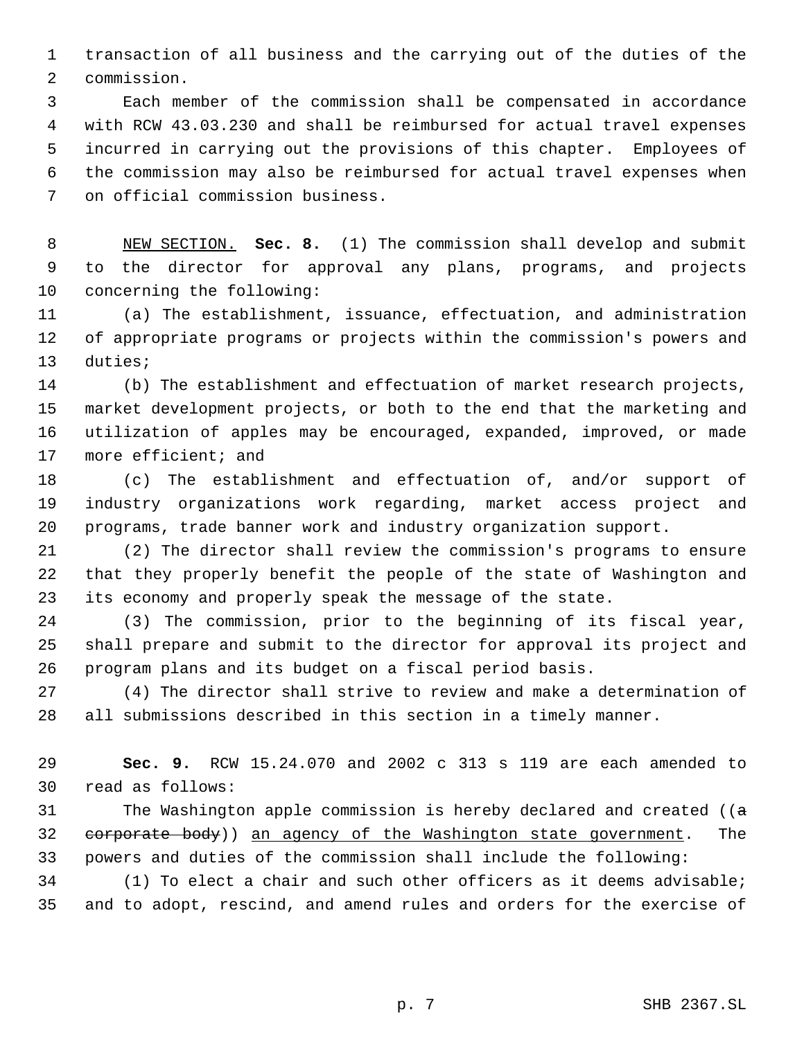transaction of all business and the carrying out of the duties of the commission.

 Each member of the commission shall be compensated in accordance with RCW 43.03.230 and shall be reimbursed for actual travel expenses incurred in carrying out the provisions of this chapter. Employees of the commission may also be reimbursed for actual travel expenses when on official commission business.

 NEW SECTION. **Sec. 8.** (1) The commission shall develop and submit to the director for approval any plans, programs, and projects concerning the following:

 (a) The establishment, issuance, effectuation, and administration of appropriate programs or projects within the commission's powers and duties;

 (b) The establishment and effectuation of market research projects, market development projects, or both to the end that the marketing and utilization of apples may be encouraged, expanded, improved, or made more efficient; and

 (c) The establishment and effectuation of, and/or support of industry organizations work regarding, market access project and programs, trade banner work and industry organization support.

 (2) The director shall review the commission's programs to ensure that they properly benefit the people of the state of Washington and its economy and properly speak the message of the state.

 (3) The commission, prior to the beginning of its fiscal year, shall prepare and submit to the director for approval its project and program plans and its budget on a fiscal period basis.

 (4) The director shall strive to review and make a determination of all submissions described in this section in a timely manner.

 **Sec. 9.** RCW 15.24.070 and 2002 c 313 s 119 are each amended to read as follows:

31 The Washington apple commission is hereby declared and created ( $(a - b)$ 32 corporate body)) an agency of the Washington state government. The powers and duties of the commission shall include the following:

 (1) To elect a chair and such other officers as it deems advisable; and to adopt, rescind, and amend rules and orders for the exercise of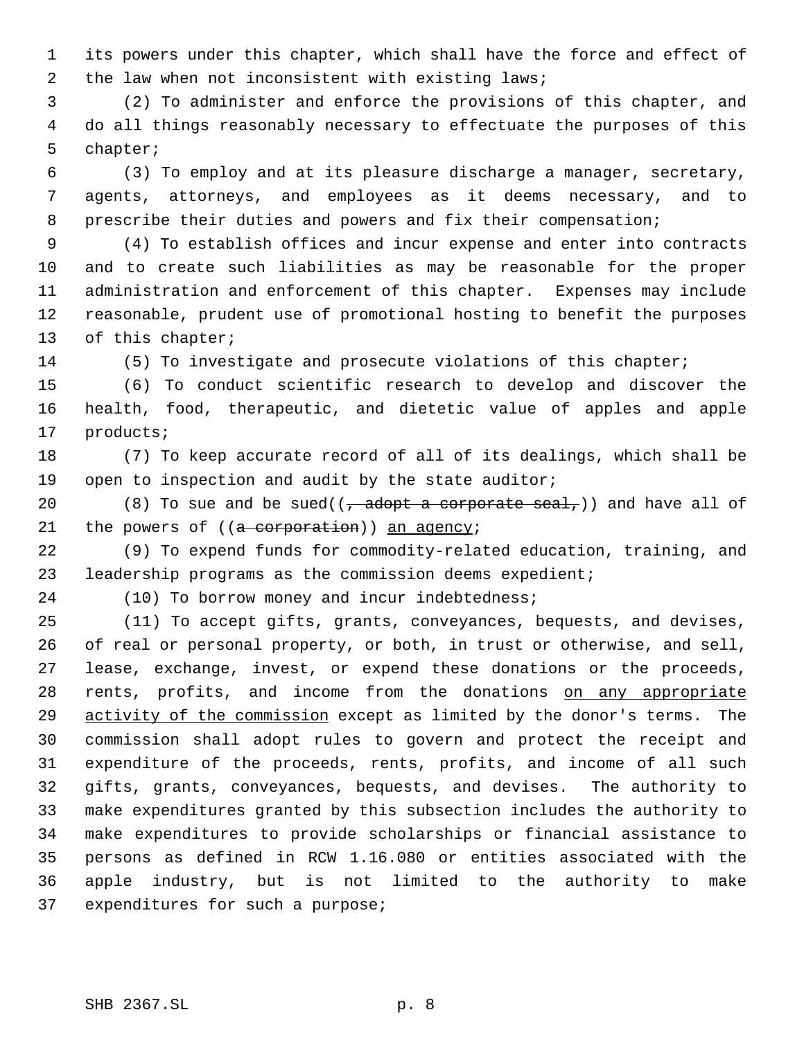its powers under this chapter, which shall have the force and effect of the law when not inconsistent with existing laws;

 (2) To administer and enforce the provisions of this chapter, and do all things reasonably necessary to effectuate the purposes of this chapter;

 (3) To employ and at its pleasure discharge a manager, secretary, agents, attorneys, and employees as it deems necessary, and to prescribe their duties and powers and fix their compensation;

 (4) To establish offices and incur expense and enter into contracts and to create such liabilities as may be reasonable for the proper administration and enforcement of this chapter. Expenses may include reasonable, prudent use of promotional hosting to benefit the purposes 13 of this chapter;

(5) To investigate and prosecute violations of this chapter;

 (6) To conduct scientific research to develop and discover the health, food, therapeutic, and dietetic value of apples and apple products;

 (7) To keep accurate record of all of its dealings, which shall be open to inspection and audit by the state auditor;

20 (8) To sue and be sued( $(\tau$  adopt a corporate seal,)) and have all of 21 the powers of  $((a$  corporation)) an agency;

 (9) To expend funds for commodity-related education, training, and leadership programs as the commission deems expedient;

(10) To borrow money and incur indebtedness;

 (11) To accept gifts, grants, conveyances, bequests, and devises, of real or personal property, or both, in trust or otherwise, and sell, lease, exchange, invest, or expend these donations or the proceeds, 28 rents, profits, and income from the donations on any appropriate activity of the commission except as limited by the donor's terms. The commission shall adopt rules to govern and protect the receipt and expenditure of the proceeds, rents, profits, and income of all such gifts, grants, conveyances, bequests, and devises. The authority to make expenditures granted by this subsection includes the authority to make expenditures to provide scholarships or financial assistance to persons as defined in RCW 1.16.080 or entities associated with the apple industry, but is not limited to the authority to make expenditures for such a purpose;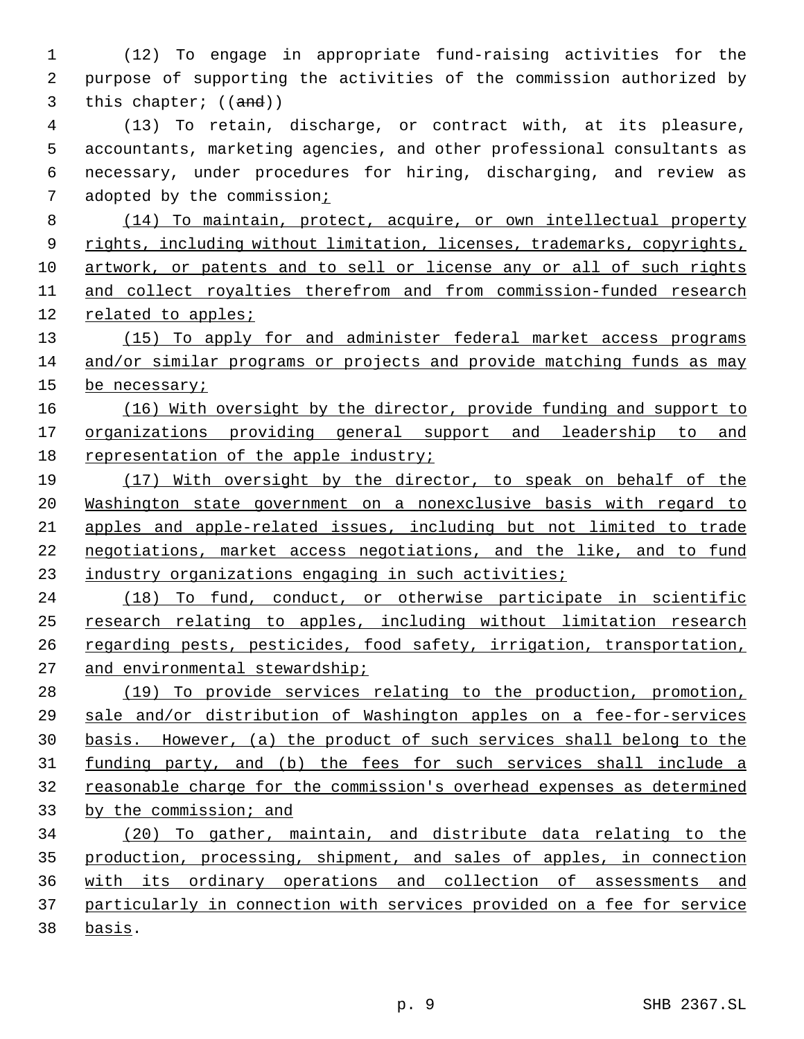(12) To engage in appropriate fund-raising activities for the purpose of supporting the activities of the commission authorized by 3 this chapter; ((and))

 (13) To retain, discharge, or contract with, at its pleasure, accountants, marketing agencies, and other professional consultants as necessary, under procedures for hiring, discharging, and review as 7 adopted by the commission;

 (14) To maintain, protect, acquire, or own intellectual property 9 rights, including without limitation, licenses, trademarks, copyrights, artwork, or patents and to sell or license any or all of such rights and collect royalties therefrom and from commission-funded research related to apples;

 (15) To apply for and administer federal market access programs and/or similar programs or projects and provide matching funds as may 15 be necessary;

 (16) With oversight by the director, provide funding and support to 17 <u>organizations providing general support and leadership to and</u> representation of the apple industry;

 (17) With oversight by the director, to speak on behalf of the Washington state government on a nonexclusive basis with regard to apples and apple-related issues, including but not limited to trade negotiations, market access negotiations, and the like, and to fund 23 industry organizations engaging in such activities;

 (18) To fund, conduct, or otherwise participate in scientific research relating to apples, including without limitation research 26 regarding pests, pesticides, food safety, irrigation, transportation, and environmental stewardship;

 (19) To provide services relating to the production, promotion, sale and/or distribution of Washington apples on a fee-for-services basis. However, (a) the product of such services shall belong to the funding party, and (b) the fees for such services shall include a reasonable charge for the commission's overhead expenses as determined 33 by the commission; and

 (20) To gather, maintain, and distribute data relating to the production, processing, shipment, and sales of apples, in connection with its ordinary operations and collection of assessments and particularly in connection with services provided on a fee for service basis.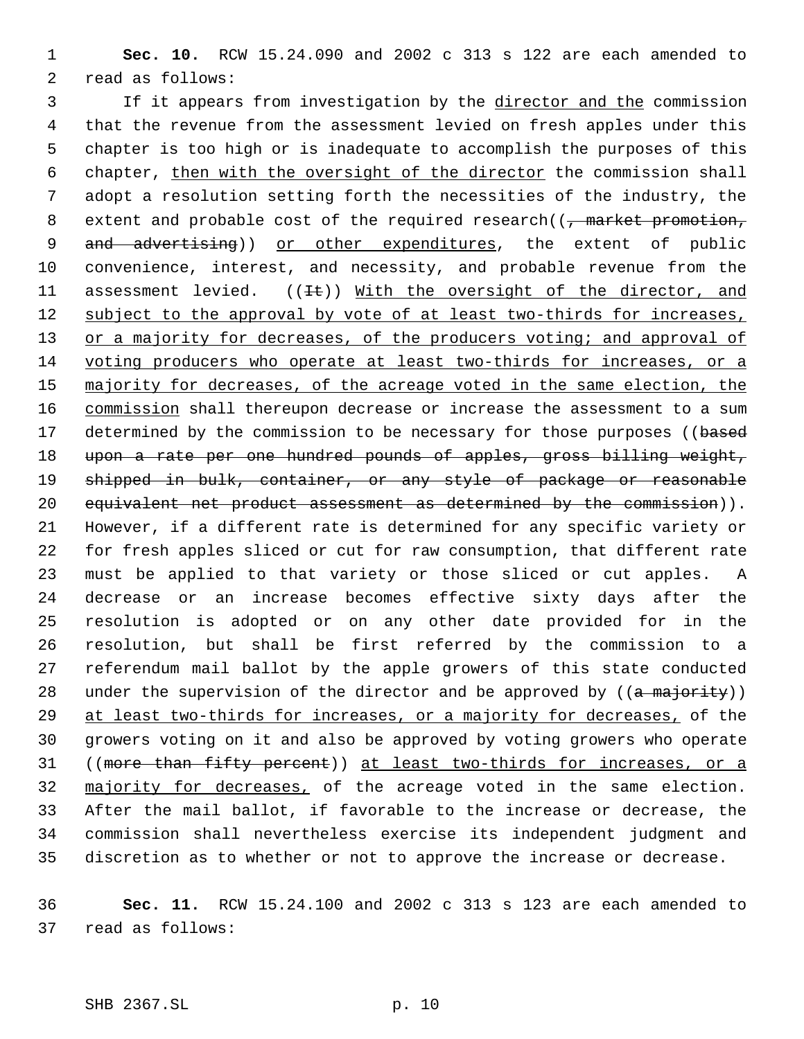**Sec. 10.** RCW 15.24.090 and 2002 c 313 s 122 are each amended to read as follows:

 If it appears from investigation by the director and the commission that the revenue from the assessment levied on fresh apples under this chapter is too high or is inadequate to accomplish the purposes of this 6 chapter, then with the oversight of the director the commission shall adopt a resolution setting forth the necessities of the industry, the 8 extent and probable cost of the required research( $\frac{1}{100}$  market promotion, 9 and advertising)) or other expenditures, the extent of public convenience, interest, and necessity, and probable revenue from the 11 assessment levied.  $((\pm \epsilon))$  With the oversight of the director, and 12 subject to the approval by vote of at least two-thirds for increases, 13 or a majority for decreases, of the producers voting; and approval of voting producers who operate at least two-thirds for increases, or a 15 majority for decreases, of the acreage voted in the same election, the 16 commission shall thereupon decrease or increase the assessment to a sum 17 determined by the commission to be necessary for those purposes ((based upon a rate per one hundred pounds of apples, gross billing weight, 19 shipped in bulk, container, or any style of package or reasonable 20 equivalent net product assessment as determined by the commission)). However, if a different rate is determined for any specific variety or for fresh apples sliced or cut for raw consumption, that different rate must be applied to that variety or those sliced or cut apples. A decrease or an increase becomes effective sixty days after the resolution is adopted or on any other date provided for in the resolution, but shall be first referred by the commission to a referendum mail ballot by the apple growers of this state conducted 28 under the supervision of the director and be approved by  $((a - majority))$ 29 at least two-thirds for increases, or a majority for decreases, of the growers voting on it and also be approved by voting growers who operate ((more than fifty percent)) at least two-thirds for increases, or a 32 majority for decreases, of the acreage voted in the same election. After the mail ballot, if favorable to the increase or decrease, the commission shall nevertheless exercise its independent judgment and discretion as to whether or not to approve the increase or decrease.

 **Sec. 11.** RCW 15.24.100 and 2002 c 313 s 123 are each amended to read as follows: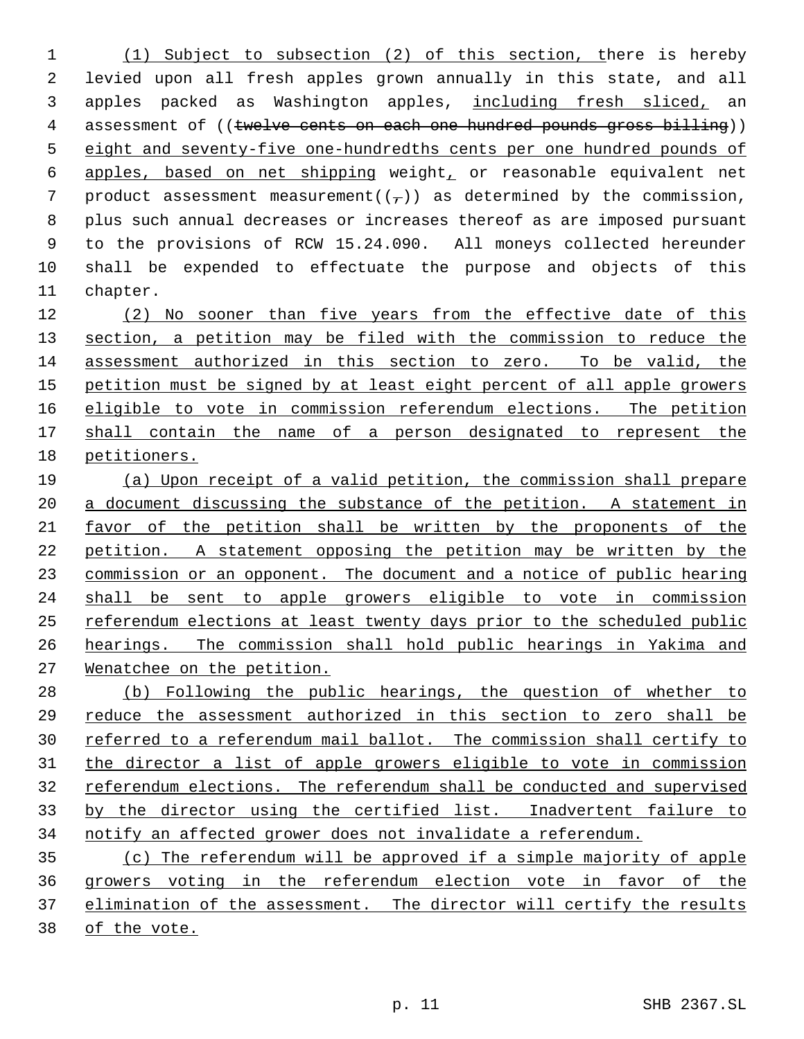(1) Subject to subsection (2) of this section, there is hereby levied upon all fresh apples grown annually in this state, and all apples packed as Washington apples, including fresh sliced, an 4 assessment of ((twelve cents on each one hundred pounds gross billing)) eight and seventy-five one-hundredths cents per one hundred pounds of apples, based on net shipping weight, or reasonable equivalent net 7 product assessment measurement( $(\tau)$ ) as determined by the commission, plus such annual decreases or increases thereof as are imposed pursuant to the provisions of RCW 15.24.090. All moneys collected hereunder shall be expended to effectuate the purpose and objects of this chapter.

 (2) No sooner than five years from the effective date of this 13 section, a petition may be filed with the commission to reduce the assessment authorized in this section to zero. To be valid, the 15 petition must be signed by at least eight percent of all apple growers 16 eligible to vote in commission referendum elections. The petition 17 shall contain the name of a person designated to represent the petitioners.

 (a) Upon receipt of a valid petition, the commission shall prepare a document discussing the substance of the petition. A statement in favor of the petition shall be written by the proponents of the petition. A statement opposing the petition may be written by the 23 commission or an opponent. The document and a notice of public hearing shall be sent to apple growers eligible to vote in commission referendum elections at least twenty days prior to the scheduled public hearings. The commission shall hold public hearings in Yakima and Wenatchee on the petition.

 (b) Following the public hearings, the question of whether to reduce the assessment authorized in this section to zero shall be 30 referred to a referendum mail ballot. The commission shall certify to the director a list of apple growers eligible to vote in commission referendum elections. The referendum shall be conducted and supervised by the director using the certified list. Inadvertent failure to notify an affected grower does not invalidate a referendum.

 (c) The referendum will be approved if a simple majority of apple growers voting in the referendum election vote in favor of the 37 elimination of the assessment. The director will certify the results of the vote.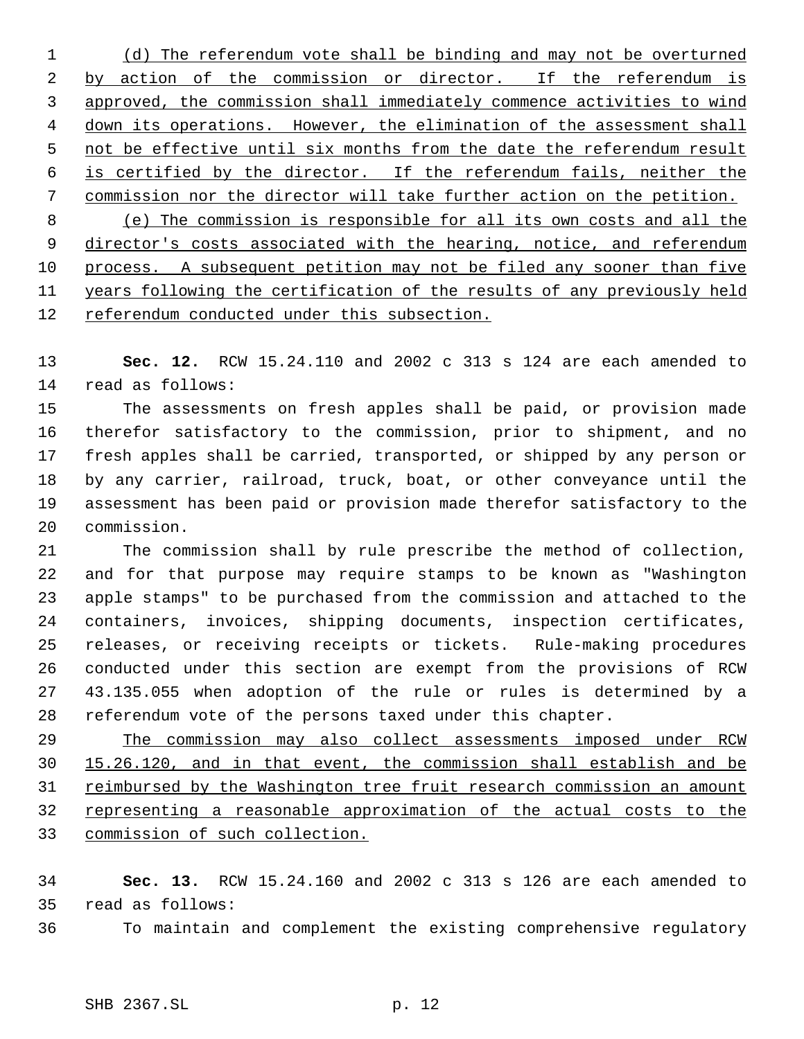(d) The referendum vote shall be binding and may not be overturned by action of the commission or director. If the referendum is approved, the commission shall immediately commence activities to wind 4 down its operations. However, the elimination of the assessment shall not be effective until six months from the date the referendum result is certified by the director. If the referendum fails, neither the commission nor the director will take further action on the petition. (e) The commission is responsible for all its own costs and all the 9 director's costs associated with the hearing, notice, and referendum process. A subsequent petition may not be filed any sooner than five years following the certification of the results of any previously held referendum conducted under this subsection.

 **Sec. 12.** RCW 15.24.110 and 2002 c 313 s 124 are each amended to read as follows:

 The assessments on fresh apples shall be paid, or provision made therefor satisfactory to the commission, prior to shipment, and no fresh apples shall be carried, transported, or shipped by any person or by any carrier, railroad, truck, boat, or other conveyance until the assessment has been paid or provision made therefor satisfactory to the commission.

 The commission shall by rule prescribe the method of collection, and for that purpose may require stamps to be known as "Washington apple stamps" to be purchased from the commission and attached to the containers, invoices, shipping documents, inspection certificates, releases, or receiving receipts or tickets. Rule-making procedures conducted under this section are exempt from the provisions of RCW 43.135.055 when adoption of the rule or rules is determined by a referendum vote of the persons taxed under this chapter.

 The commission may also collect assessments imposed under RCW 15.26.120, and in that event, the commission shall establish and be reimbursed by the Washington tree fruit research commission an amount representing a reasonable approximation of the actual costs to the commission of such collection.

 **Sec. 13.** RCW 15.24.160 and 2002 c 313 s 126 are each amended to read as follows:

To maintain and complement the existing comprehensive regulatory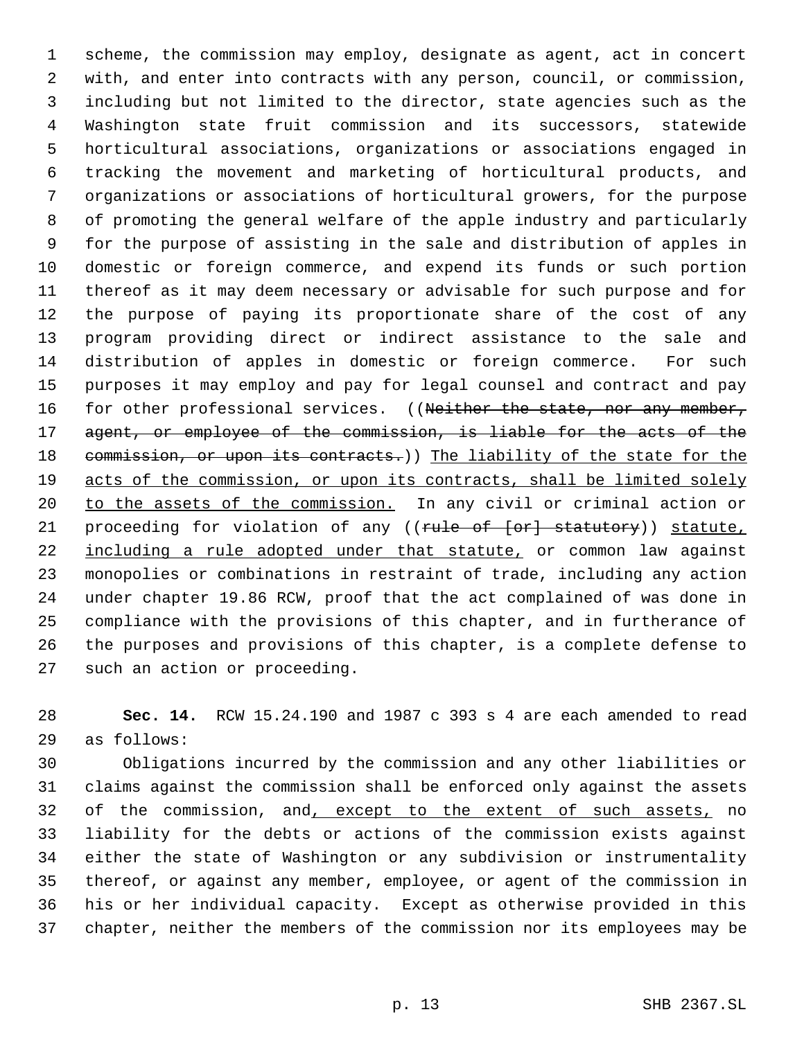scheme, the commission may employ, designate as agent, act in concert with, and enter into contracts with any person, council, or commission, including but not limited to the director, state agencies such as the Washington state fruit commission and its successors, statewide horticultural associations, organizations or associations engaged in tracking the movement and marketing of horticultural products, and organizations or associations of horticultural growers, for the purpose of promoting the general welfare of the apple industry and particularly for the purpose of assisting in the sale and distribution of apples in domestic or foreign commerce, and expend its funds or such portion thereof as it may deem necessary or advisable for such purpose and for the purpose of paying its proportionate share of the cost of any program providing direct or indirect assistance to the sale and distribution of apples in domestic or foreign commerce. For such purposes it may employ and pay for legal counsel and contract and pay 16 for other professional services. ((Neither the state, nor any member, 17 agent, or employee of the commission, is liable for the acts of the 18 commission, or upon its contracts.)) The liability of the state for the 19 acts of the commission, or upon its contracts, shall be limited solely 20 to the assets of the commission. In any civil or criminal action or 21 proceeding for violation of any ((rule of [or] statutory)) statute, 22 including a rule adopted under that statute, or common law against monopolies or combinations in restraint of trade, including any action under chapter 19.86 RCW, proof that the act complained of was done in compliance with the provisions of this chapter, and in furtherance of the purposes and provisions of this chapter, is a complete defense to such an action or proceeding.

 **Sec. 14.** RCW 15.24.190 and 1987 c 393 s 4 are each amended to read as follows:

 Obligations incurred by the commission and any other liabilities or claims against the commission shall be enforced only against the assets 32 of the commission, and, except to the extent of such assets, no liability for the debts or actions of the commission exists against either the state of Washington or any subdivision or instrumentality thereof, or against any member, employee, or agent of the commission in his or her individual capacity. Except as otherwise provided in this chapter, neither the members of the commission nor its employees may be